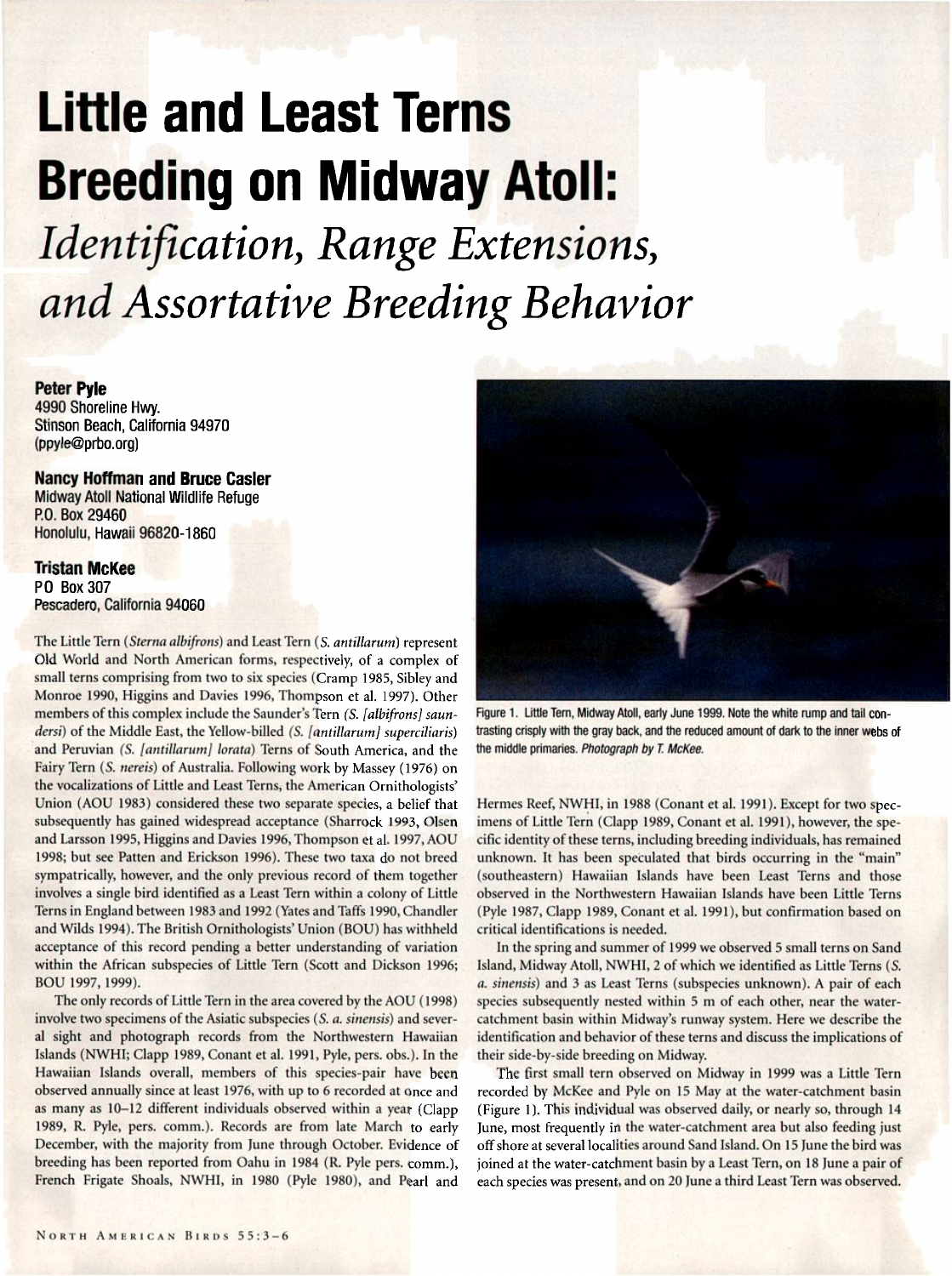# **Little and Least Terns Breeding on Midway Atoll:**

**Identification, Range Extensions,**  and Assortative Breeding Behavior

**Peter Pyle 4990 Shoreline Hvvy. Stinson Beach, California 94970 (ppyle@prbo.org)** 

## **Nancy Hoffman and Bruce Casler**

**Midway Atoll National Wildlife Refuge P.O. Box 29460 Honolulu, Hawaii 96820-1860** 

## **Tristan McKee**

**P.O. Box 307 Pescadero, California 94060** 

**The Little Tern (Sterna albifrons) and Least Tern (S. antillarum) represent Old World and North American forms, respectively, of a complex of small terns comprising from two to six species (Cramp 1985, Sibley and Monroe 1990, Higgins and Davies 1996, Thompson et al. 1997). Other members of this complex include the Saunder's Tern (S. [albifrons] saun**dersi) of the Middle East, the Yellow-billed *(S. [antillarum] superciliaris*) **and Peruvian (S. [antillarum] Iorata) Terns of South America, and the Fairy Tern (S. nereis) of Australia. Following work by Massey (1976) on the vocalizations of Little and Least Terns, the American Ornithologists'**  Union (AOU 1983) considered these two separate species, a belief that **subsequently has gained widespread acceptance (Sharrock 1993, Olsen and Larsson 1995, Higgins and Davies 1996, Thompson et al. 1997, AOU 1998; but see Patten and Erickson 1996). These two taxa do not breed sympatrically, however, and the only previous record of them together involves asingle bird identified as a Least Tern within a colony of Little Terns in England between 1983 and 1992 (Yates and Taffs 1990, Chandler and Wilds 1994). The British Ornithologists' Union (BOU) has withheld acceptance of this record pending a better understanding of variation within the African subspecies of Little Tern (Scott and Dickson 1996; BOU 1997, 1999).** 

**The only records of Little Tern in the area covered by the AOU (1998) involve two specimens of the Asiatic subspecies (S. a. sinensis) and several sight and photograph records from the Northwestern Hawaiian**  Islands (NWHI; Clapp 1989, Conant et al. 1991, Pyle, pers. obs.). In the **Hawaiian Islands overall, members of this species-pair have been observed annually since at least 1976, with up to 6 recorded at once and as many as 10-12 different individuals observed within a year (Clapp**  1989, R. Pyle, pers. comm.). Records are from late March to early **December, with the majority from June through October. Evidence of breeding has been reported from Oahu in 1984 (R. Pyle pers. comm.), French Frigate Shoals, NWH1, in 1980 (Pyle 1980), and Pearl and** 



Figure 1. Little Tern, Midway Atoll, early June 1999. Note the white rump and tail con**trasting crisply with the gray back, and the reduced amount of dark to the inner webs of the middle primaries. Photograph by T. McKee.** 

**Hermes Reef, NWHI, in 1988 (Conant et al. 1991). Except for two specimens of Little Tern (Clapp 1989, Conant et al. 1991), however, the specific identity of these terns, including breeding individuals, has remained unknown. It has been speculated that birds occurring in the "main" (southeastern) Hawaiian Islands have been Least Terns and those observed in the Northwestern Hawaiian Islands have been Little Terns (Pyle 1987, Clapp 1989, Conant et al. 1991), but confirmation based on critical identifications is needed.** 

**In the spring and summer of 1999 we observed 5small terns on Sand Island, Midway Atoll, NWHI, 2 of which we identified as Little Terns (S. a\_ sinensis) and 3 as Least Terns (subspecies unknown). A pair of each**  species subsequently nested within 5 m of each other, near the water**catchment basin within Midway's runway system. Here we describe the identification and behavior of these terns and discuss the implications of their side-by-side breeding on Midway.** 

**The first small tern observed on Midway in 1999 was a Little Tern recorded by McKee and Pyle on 15 May at the water-catchment basin (Figure 1). This individual was observed daily, or nearly so, through 14 June, most frequently in the water-catchment area but also feeding just**  off shore at several localities around Sand Island. On 15 June the bird was **joined at the water-catchment basin by a Least Tern, on 18 June a pair of each species was present, and on 20 June a third Least Tern was observed.**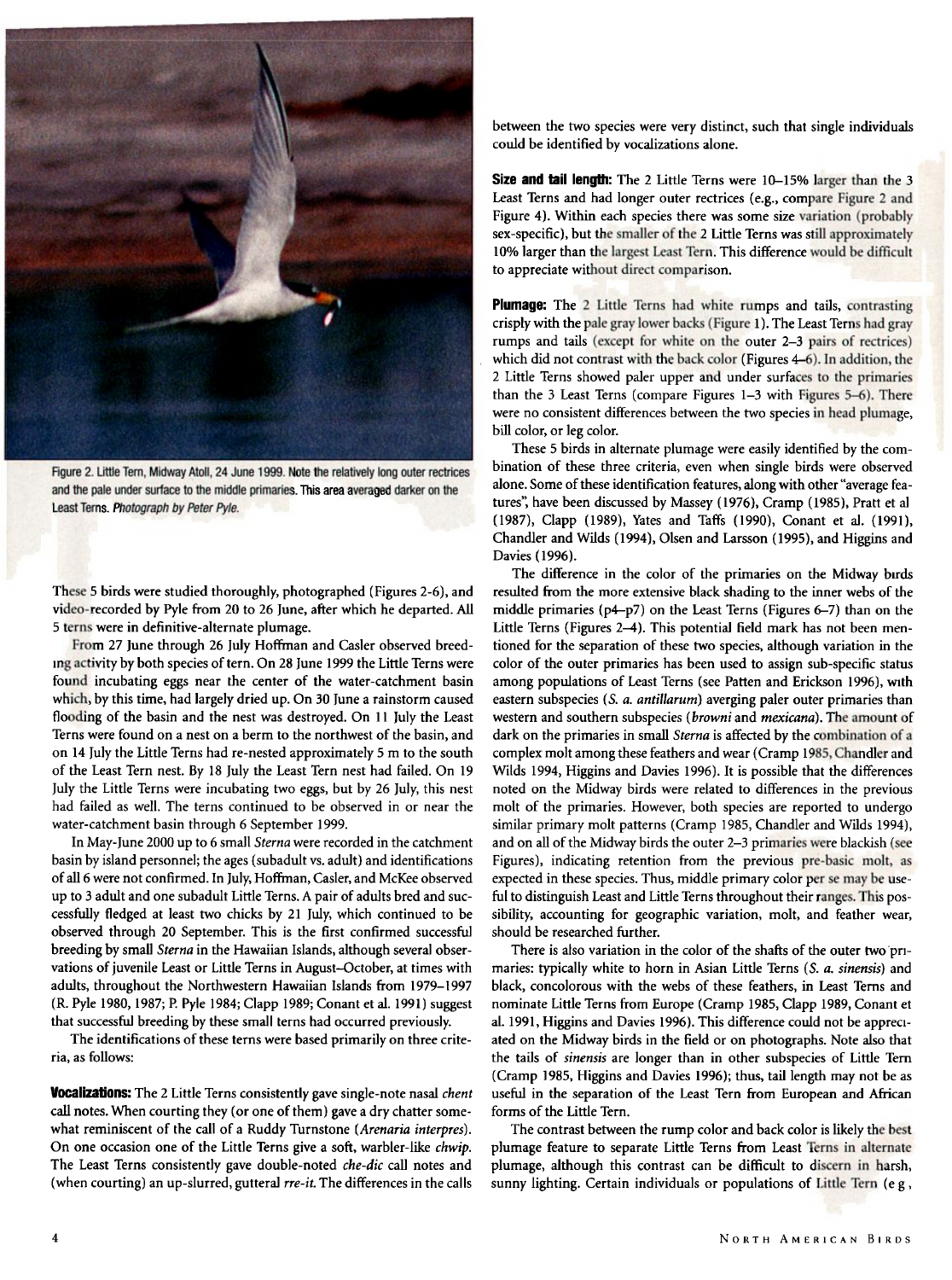

Figure 2. Little Tern, Midway Atoll, 24 June 1999. Note the relatively long outer rectrices and the pale under surface to the middle primaries. This area averaged darker on the **Least Terns. Photograph by Peter Pyle.** 

**These 5 birds were studied thoroughly, photographed (Figures 2-6), and video-recorded by Pyle from 20 to 26 June, after which he departed. All 5 terns were in definitive-alternate plumage.** 

**From 27 June through 26 July Hoffman and Casler observed breeding activity by both species of tern. On 28 June 1999 the Little Terns were found incubating eggs near the center of the water-catchment basin which, by this time, had largely dried up. On 30 June a rainstorm caused flooding of the basin and the nest was destroyed. On 11 July the Least Terns were found on a nest on a berm to the northwest of the basin, and on 14 July the Little Terns had re-nested approximately 5 m to the south of the Least Tern nest. By 18 July the Least Tern nest had failed. On 19 July the Little Terns were incubating two eggs, but by 26 July, this nest had failed as well. The terns continued to be observed in or near the water-catchment basin through 6 September 1999.** 

**In May-lune 2000 up to 6 small Sterna were recorded in the catchment basin by island personnel; the ages (subadult vs. adult) and identifications of all 6 were not confirmed. In July, Hoffman, Casler, and McKee observed up to 3 adult and one subadult Little Terns. A pair of adults bred and successfully fledged at least two chicks by 21 July, which continued to be observed through 20 September. This is the first confirmed successful breeding by small Sterna in the Hawaiian Islands, although several obser**vations of juvenile Least or Little Terns in August-October, at times with **adults, throughout the Northwestern Hawaiian Islands from 1979-1997 (R. Pyle 1980, 1987; P. Pyle 1984; Clapp 1989; Conant et al. 1991)suggest that successful breeding by these small terns had occurred previously.** 

The identifications of these terns were based primarily on three crite**ria, as follows:** 

**Vocalizations: The 2 Little Terns consistently gave single-note nasal chent call notes. When courting they (or one of them) gave a dry chatter somewhat reminiscent of the call of a Ruddy Turnstone (Arenaria interpres). On one occasion one of the Little Terns give a soft, warbler-like chwip. The Least Terns consistently gave double-noted che-dic call notes and**  (when courting) an up-slurred, gutteral *rre-it*. The differences in the calls

**between the two species were very distinct, such that single individuals could be identified by vocalizations alone.** 

**Size and tail length: The 2 Little Terns were 10-15% larger than the 3 Least Terns and had longer outer rectrices (e.g., compare Figure 2 and Figure 4). Within each species there was some size variation (probably sex-specific), but the smaller of the 2 Little Terns was still approximately 10% larger than the largest Least Tern. This difference would be difficult to appreciate without direct comparison.** 

**Plumage: The 2 Little Terns had white rumps and tails, contrasting crisply with the pale gray lower backs (Figure 1). The Least Terns had gray rumps and tails (except for white on the outer 2-3 pairs of rectrices) which did not contrast with the back color (Figures 4-6). In addition, the 2 Little Terns showed paler upper and under surfaces to the primaries than the 3 Least Terns (compare Figures 1-3 with Figures 5-6). There were no consistent differences between the two species in head plumage, bill color, or leg color.** 

**These 5 birds in alternate plumage were easily identified by the combination of these three criteria, even when single birds were observed alone. Some of these identification features, along with other"average features'; have been discussed by Massey (1976), Cramp (1985), Pratt et al. (1987), Clapp (1989), Yates and Taffs {1990), Conant et al. (1991), Chandler and Wilds (1994), Olsen and Larsson (1995), and Higgins and Davies (1996).** 

**The difference in the color of the primaries on the Midway birds resulted from the more extensive black shading to the inner webs of the middle primaries (p4-p7) on the Least Terns (Figures 6-7) than on the Little Terns (Figures 2-4). This potential field mark has not been mentioned for the separation of these two species, although variation in the color of the outer primaries has been used to assign sub-specific status among populations of Least Terns (see Patten and Erickson 1996), with eastern subspecies (S. a. antillarum) averging paler outer primaries than western and southern subspecies (browni and mexicana). The amount of dark on the primaries in small Sterna is affected by the combination of a complex molt among these feathers and wear (Cramp 1985, Chandler and Wilds 1994, Higgins and Davies 1996). It is possible that the differences noted on the Midway birds were related to differences in the previous molt of the primaries. However, both species are reported to undergo similar primary molt patterns (Cramp 1985, Chandler and Wilds 1994), and on all of the Midway birds the outer 2-3 primaries were blackish (see Figures), indicating retention from the previous pre-basic molt, as expected in these species. Thus, middle primary color per se may be useful to distinguish Least and Little Terns throughout their ranges. This possibility, accounting for geographic variation, molt, and feather wear, should be researched further.** 

**There is also variation in the color of the shafts of the outer two pri**maries: typically white to horn in Asian Little Terns (S. a. sinensis) and **black, concolorous with the webs of these feathers, in Least Terns and nominate Little Terns from Europe (Cramp 1985, Clapp 1989, Conant et al. 1991, Higgins and Davies 1996). This difference could not be appreciated on the Midway birds in the field or on photographs. Note also that**  the tails of sinensis are longer than in other subspecies of Little Tern **(Cramp 1985, Higgins and Davies 1996); thus, tail length may not be as useful in the separation of the Least Tern from European and African forms of the Little Tern.** 

**The contrast between the rump color and back color is likely the best plumage feature to separate Little Terns from Least Terns in alternate plumage, although this contrast can be difficult to discern in harsh,**  sunny lighting. Certain individuals or populations of Little Tern (e.g.,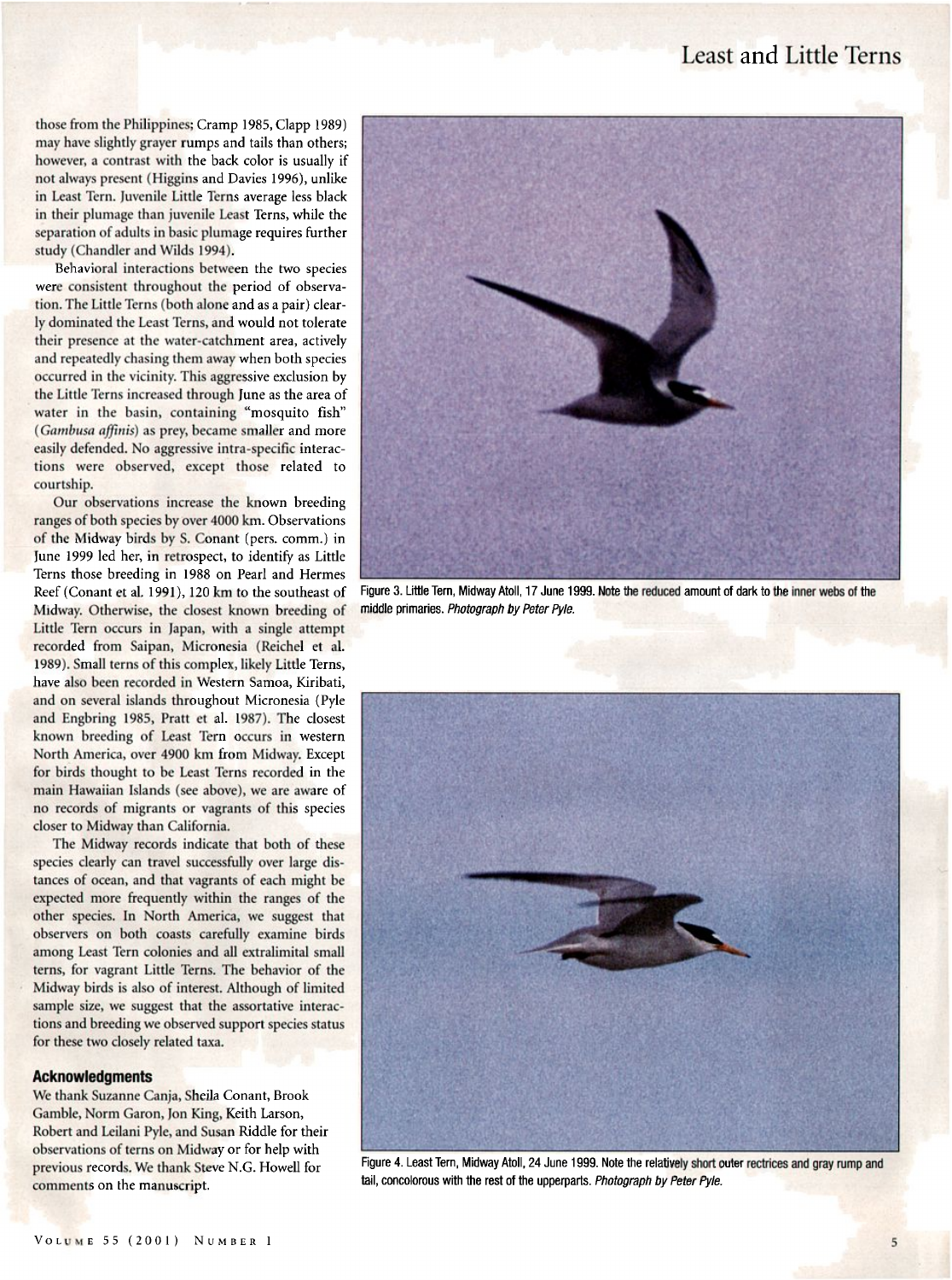# **Least and Little Terns**

**those from the Philippines; Cramp 1985, Clapp 1989) may have slightly grayer rumps and tails than others; however, a contrast with the back color is usually if not always present (Higgins and Davies 1996), unlike in Least Tern. Juvenile Little Terns average less black in their plumage than juvenile Least Terns, while the separation of adults in basic plumage requires further study (Chandler and Wilds 1994).** 

**Behavioral interactions between the two species**  were consistent throughout the period of observa**tion. The Little Terns (both alone and as a pair) clearly dominated the Least Terns, and would not tolerate their presence at the water-catchment area, actively and repeatedly chasing them away when both species occurred in the vicinity. This aggressive exclusion by the Little Terns increased through June as the area of water in the basin, containing "mosquito fish"**  (Gambusa affinis) as prey, became smaller and more **easily defended. No aggressive intra-specific interactions were observed, except those related to courtship.** 

**Our observations increase the known breeding ranges of both species by over 4000 km. Observations of the Midway birds by S. Conant (pers. comm.) in**  June 1999 led her, in retrospect, to identify as Little **Terns those breeding in 1988 on Pearl and Hermes Reef (Conant et al. 1991), 120 km to the southeast of Midway. Otherwise, the closest known breeding of Little Tern occurs in Japan, with a single attempt recorded from Saipan, Micronesia (Reichel et al. 1989). Small terns of this complex, likely Little Terns, have also been recorded in Western Samoa, Kiribati, and on several islands throughout Micronesia (Pyle and Engbring 1985, Pratt et al. 1987). The closest known breeding of Least Tern occurs in western North America, over 4900 km from Midway. Except for birds thought to be Least Terns recorded in the main Hawaiian Islands (see above), we are aware of no records of migrants or vagrants of this species closer to Midway than California.** 

**The Midway records indicate that both of these species clearly can travel successfully over large distances of ocean, and that vagrants of each might be expected more frequently within the ranges of the other species. In North America, we suggest that observers on both coasts carefully examine birds among Least Tern colonies and all extralimital small terns, for vagrant Little Terns. The behavior of the Midway birds is also of interest. Although of limited sample size, we suggest that the assortative interactions and breeding we observed support species status for these two closely related taxa.** 

#### **Acknowledgments**

**We thank Suzanne Canja, Sheila Conant, Brook Gamble, Norm Garon, Jon King, Keith Larson, Robert and Leilani Pyle, and Susan Riddle for their observations of terns on Midway or for help with previous records. We thank Steve N.G. Howell for comments on the manuscript.** 



Figure 3. Little Tern, Midway Atoll, 17 June 1999. Note the reduced amount of dark to the inner webs of the **middle primaries. Photograph by Peter Pyle.** 



Figure 4. Least Tern, Midway Atoll, 24 June 1999. Note the relatively short outer rectrices and gray rump and **tail, concolorous with the rest of the upperparts. Photograph by Peter Pyle.**